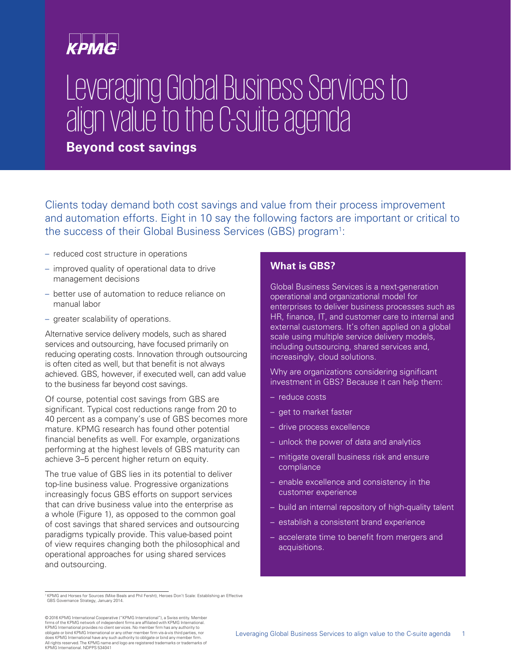# Leveraging Global Business Services to align value to the C-suite agenda

**Beyond cost savings**

Clients today demand both cost savings and value from their process improvement and automation efforts. Eight in 10 say the following factors are important or critical to the success of their Global Business Services (GBS) program<sup>1</sup>:

- reduced cost structure in operations
- improved quality of operational data to drive management decisions
- better use of automation to reduce reliance on manual labor
- greater scalability of operations.

Alternative service delivery models, such as shared services and outsourcing, have focused primarily on reducing operating costs. Innovation through outsourcing is often cited as well, but that benefit is not always achieved. GBS, however, if executed well, can add value to the business far beyond cost savings.

Of course, potential cost savings from GBS are significant. Typical cost reductions range from 20 to 40 percent as a company's use of GBS becomes more mature. KPMG research has found other potential financial benefits as well. For example, organizations performing at the highest levels of GBS maturity can achieve 3–5 percent higher return on equity.

The true value of GBS lies in its potential to deliver top-line business value. Progressive organizations increasingly focus GBS efforts on support services that can drive business value into the enterprise as a whole (Figure 1), as opposed to the common goal of cost savings that shared services and outsourcing paradigms typically provide. This value-based point of view requires changing both the philosophical and operational approaches for using shared services and outsourcing.

#### 1 KPMG and Horses for Sources (Mike Beals and Phil Fersht), Heroes Don't Scale: Establishing an Effective GBS Governance Strategy, January 2014.

### **What is GBS?**

Global Business Services is a next-generation operational and organizational model for enterprises to deliver business processes such as HR, finance, IT, and customer care to internal and external customers. It's often applied on a global scale using multiple service delivery models, including outsourcing, shared services and, increasingly, cloud solutions.

Why are organizations considering significant investment in GBS? Because it can help them:

- reduce costs
- get to market faster
- drive process excellence
- unlock the power of data and analytics
- mitigate overall business risk and ensure compliance
- enable excellence and consistency in the customer experience
- build an internal repository of high-quality talent
- establish a consistent brand experience
- accelerate time to benefit from mergers and acquisitions.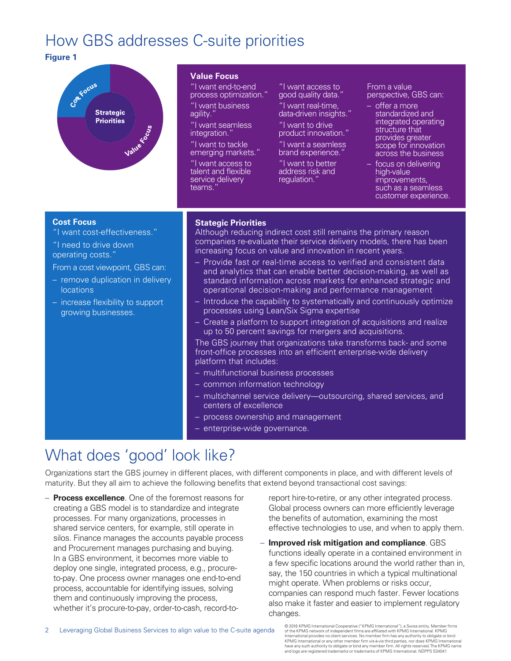### How GBS addresses C-suite priorities

#### **Figure 1**



#### **Value Focus**

"I want end-to-end process optimization."

"I want business agility.

"I want seamless integration.

"I want to tackle emerging markets."

"I want access to talent and flexible service delivery teams."

"I want access to good quality data."

"I want real-time, data-driven insights."

"I want to drive product innovation."

"I want a seamless brand experience.'

"I want to better address risk and regulation.

From a value perspective, GBS can:

– offer a more standardized and integrated operating structure that provides greater scope for innovation across the business

– focus on delivering high-value improvements, such as a seamless customer experience.

#### **Cost Focus**

"I want cost-effectiveness."

"I need to drive down operating costs."

From a cost viewpoint, GBS can:

- remove duplication in delivery locations
- increase flexibility to support growing businesses.

#### **Stategic Priorities**

Although reducing indirect cost still remains the primary reason companies re-evaluate their service delivery models, there has been increasing focus on value and innovation in recent years.

- Provide fast or real-time access to verified and consistent data and analytics that can enable better decision-making, as well as standard information across markets for enhanced strategic and operational decision-making and performance management
- Introduce the capability to systematically and continuously optimize processes using Lean/Six Sigma expertise
- Create a platform to support integration of acquisitions and realize up to 50 percent savings for mergers and acquisitions.

The GBS journey that organizations take transforms back- and some front-office processes into an efficient enterprise-wide delivery platform that includes:

- multifunctional business processes
- common information technology
- multichannel service delivery—outsourcing, shared services, and centers of excellence
- process ownership and management
- enterprise-wide governance.

### What does 'good' look like?

Organizations start the GBS journey in different places, with different components in place, and with different levels of maturity. But they all aim to achieve the following benefits that extend beyond transactional cost savings:

– **Process excellence**. One of the foremost reasons for creating a GBS model is to standardize and integrate processes. For many organizations, processes in shared service centers, for example, still operate in silos. Finance manages the accounts payable process and Procurement manages purchasing and buying. In a GBS environment, it becomes more viable to deploy one single, integrated process, e.g., procureto-pay. One process owner manages one end-to-end process, accountable for identifying issues, solving them and continuously improving the process, whether it's procure-to-pay, order-to-cash, record-to-

report hire-to-retire, or any other integrated process. Global process owners can more efficiently leverage the benefits of automation, examining the most effective technologies to use, and when to apply them.

– **Improved risk mitigation and compliance**. GBS functions ideally operate in a contained environment in a few specific locations around the world rather than in, say, the 150 countries in which a typical multinational might operate. When problems or risks occur, companies can respond much faster. Fewer locations also make it faster and easier to implement regulatory changes.

© 2016 KPMG International Cooperative ("KPMG International"), a Swiss entity. Member firms of the KPMG network of independent firms are affiliated with KPMG International. KPMG<br>International provides no client services. No member firm has any authority to obligate or bind<br>KPMG International or any other member f and logo are registered trademarks or trademarks of KPMG International. NDPPS 534041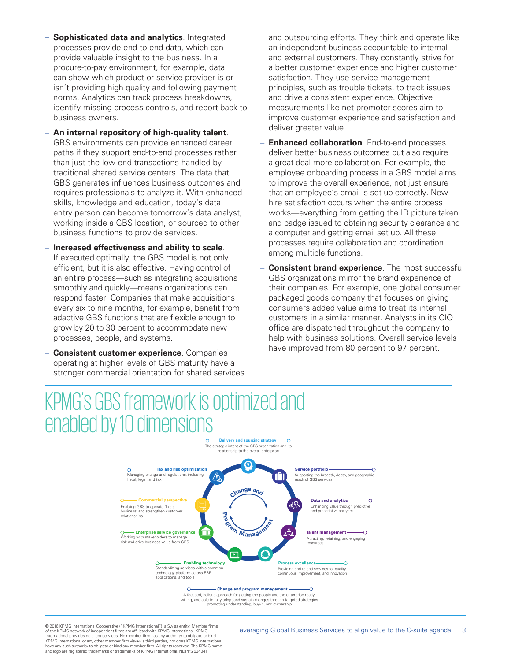- **Sophisticated data and analytics**. Integrated processes provide end-to-end data, which can provide valuable insight to the business. In a procure-to-pay environment, for example, data can show which product or service provider is or isn't providing high quality and following payment norms. Analytics can track process breakdowns, identify missing process controls, and report back to business owners.
- **An internal repository of high-quality talent**. GBS environments can provide enhanced career paths if they support end-to-end processes rather than just the low-end transactions handled by traditional shared service centers. The data that GBS generates influences business outcomes and requires professionals to analyze it. With enhanced skills, knowledge and education, today's data entry person can become tomorrow's data analyst, working inside a GBS location, or sourced to other business functions to provide services.
- **Increased effectiveness and ability to scale**. If executed optimally, the GBS model is not only efficient, but it is also effective. Having control of an entire process—such as integrating acquisitions smoothly and quickly—means organizations can respond faster. Companies that make acquisitions every six to nine months, for example, benefit from adaptive GBS functions that are flexible enough to grow by 20 to 30 percent to accommodate new processes, people, and systems.
- **Consistent customer experience**. Companies operating at higher levels of GBS maturity have a stronger commercial orientation for shared services

and outsourcing efforts. They think and operate like an independent business accountable to internal and external customers. They constantly strive for a better customer experience and higher customer satisfaction. They use service management principles, such as trouble tickets, to track issues and drive a consistent experience. Objective measurements like net promoter scores aim to improve customer experience and satisfaction and deliver greater value.

- **Enhanced collaboration**. End-to-end processes deliver better business outcomes but also require a great deal more collaboration. For example, the employee onboarding process in a GBS model aims to improve the overall experience, not just ensure that an employee's email is set up correctly. Newhire satisfaction occurs when the entire process works—everything from getting the ID picture taken and badge issued to obtaining security clearance and a computer and getting email set up. All these processes require collaboration and coordination among multiple functions.
- **Consistent brand experience**. The most successful GBS organizations mirror the brand experience of their companies. For example, one global consumer packaged goods company that focuses on giving consumers added value aims to treat its internal customers in a similar manner. Analysts in its CIO office are dispatched throughout the company to help with business solutions. Overall service levels have improved from 80 percent to 97 percent.

## KPMG's GBS framework is optimized and enabled by 10 dimensions



promoting understanding, buy-in, and ownership

© 2016 KPMG International Cooperative ("KPMG International"), a Swiss entity. Member firms of the KPMG network of independent firms are affiliated with KPMG International. KPMG International provides no client services. No member firm has any authority to obligate or bind KPMG International or any other member firm vis-à-vis third parties, nor does KPMG International have any such authority to obligate or bind any member firm. All rights reserved. The KPMG name and logo are registered trademarks or trademarks of KPMG International. NDPPS 534041